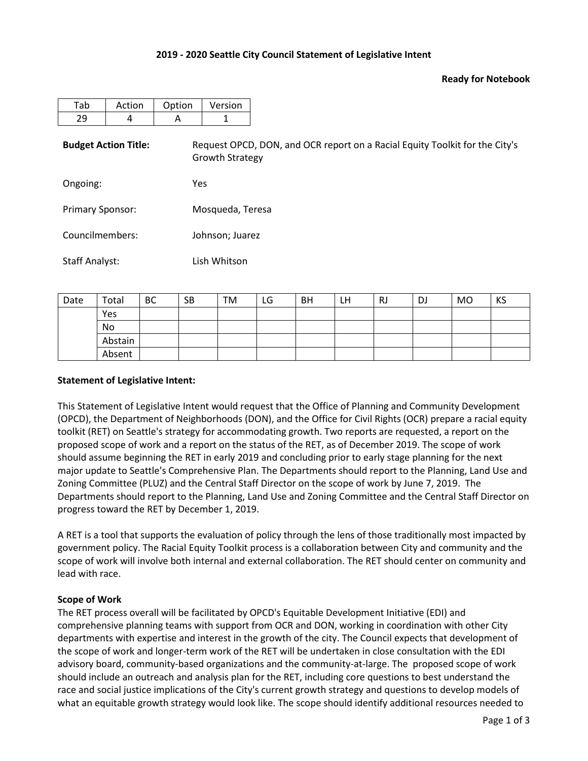### **2019 - 2020 Seattle City Council Statement of Legislative Intent**

#### **Ready for Notebook**

| Tab                         | Action | Option | Version                |                                                                             |  |  |  |  |  |  |
|-----------------------------|--------|--------|------------------------|-----------------------------------------------------------------------------|--|--|--|--|--|--|
| 29                          | 4      | A      | 1                      |                                                                             |  |  |  |  |  |  |
| <b>Budget Action Title:</b> |        |        | <b>Growth Strategy</b> | Request OPCD, DON, and OCR report on a Racial Equity Toolkit for the City's |  |  |  |  |  |  |
| Ongoing:                    |        |        | Yes                    |                                                                             |  |  |  |  |  |  |
| <b>Primary Sponsor:</b>     |        |        | Mosqueda, Teresa       |                                                                             |  |  |  |  |  |  |
| Councilmembers:             |        |        | Johnson; Juarez        |                                                                             |  |  |  |  |  |  |
| Staff Analyst:              |        |        | Lish Whitson           |                                                                             |  |  |  |  |  |  |

| Date | Total   | <b>BC</b> | <b>SB</b> | TM | LG | <b>BH</b> | LΗ | <b>RJ</b> | DJ | MO | KS |
|------|---------|-----------|-----------|----|----|-----------|----|-----------|----|----|----|
|      | Yes     |           |           |    |    |           |    |           |    |    |    |
|      | No      |           |           |    |    |           |    |           |    |    |    |
|      | Abstain |           |           |    |    |           |    |           |    |    |    |
|      | Absent  |           |           |    |    |           |    |           |    |    |    |

#### **Statement of Legislative Intent:**

This Statement of Legislative Intent would request that the Office of Planning and Community Development (OPCD), the Department of Neighborhoods (DON), and the Office for Civil Rights (OCR) prepare a racial equity toolkit (RET) on Seattle's strategy for accommodating growth. Two reports are requested, a report on the proposed scope of work and a report on the status of the RET, as of December 2019. The scope of work should assume beginning the RET in early 2019 and concluding prior to early stage planning for the next major update to Seattle's Comprehensive Plan. The Departments should report to the Planning, Land Use and Zoning Committee (PLUZ) and the Central Staff Director on the scope of work by June 7, 2019. The Departments should report to the Planning, Land Use and Zoning Committee and the Central Staff Director on progress toward the RET by December 1, 2019.

A RET is a tool that supports the evaluation of policy through the lens of those traditionally most impacted by government policy. The Racial Equity Toolkit process is a collaboration between City and community and the scope of work will involve both internal and external collaboration. The RET should center on community and lead with race.

#### **Scope of Work**

The RET process overall will be facilitated by OPCD's Equitable Development Initiative (EDI) and comprehensive planning teams with support from OCR and DON, working in coordination with other City departments with expertise and interest in the growth of the city. The Council expects that development of the scope of work and longer-term work of the RET will be undertaken in close consultation with the EDI advisory board, community-based organizations and the community-at-large. The proposed scope of work should include an outreach and analysis plan for the RET, including core questions to best understand the race and social justice implications of the City's current growth strategy and questions to develop models of what an equitable growth strategy would look like. The scope should identify additional resources needed to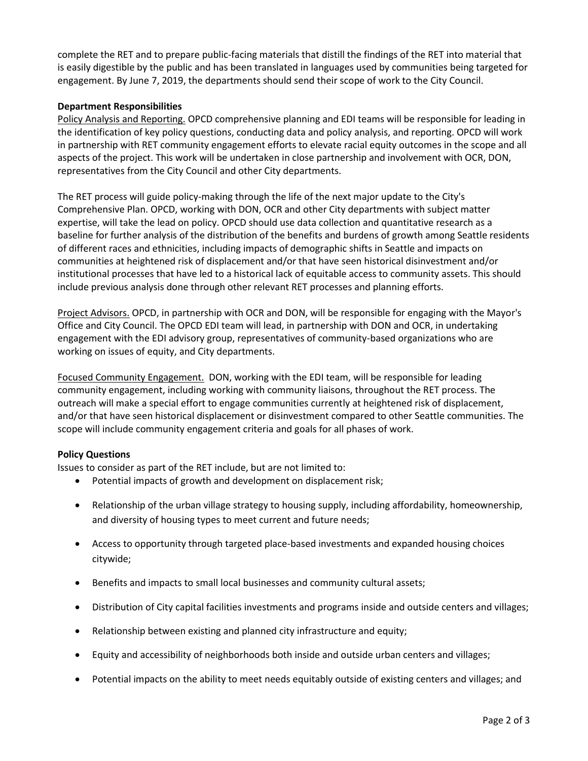complete the RET and to prepare public-facing materials that distill the findings of the RET into material that is easily digestible by the public and has been translated in languages used by communities being targeted for engagement. By June 7, 2019, the departments should send their scope of work to the City Council.

## **Department Responsibilities**

Policy Analysis and Reporting. OPCD comprehensive planning and EDI teams will be responsible for leading in the identification of key policy questions, conducting data and policy analysis, and reporting. OPCD will work in partnership with RET community engagement efforts to elevate racial equity outcomes in the scope and all aspects of the project. This work will be undertaken in close partnership and involvement with OCR, DON, representatives from the City Council and other City departments.

The RET process will guide policy-making through the life of the next major update to the City's Comprehensive Plan. OPCD, working with DON, OCR and other City departments with subject matter expertise, will take the lead on policy. OPCD should use data collection and quantitative research as a baseline for further analysis of the distribution of the benefits and burdens of growth among Seattle residents of different races and ethnicities, including impacts of demographic shifts in Seattle and impacts on communities at heightened risk of displacement and/or that have seen historical disinvestment and/or institutional processes that have led to a historical lack of equitable access to community assets. This should include previous analysis done through other relevant RET processes and planning efforts.

Project Advisors. OPCD, in partnership with OCR and DON, will be responsible for engaging with the Mayor's Office and City Council. The OPCD EDI team will lead, in partnership with DON and OCR, in undertaking engagement with the EDI advisory group, representatives of community-based organizations who are working on issues of equity, and City departments.

Focused Community Engagement. DON, working with the EDI team, will be responsible for leading community engagement, including working with community liaisons, throughout the RET process. The outreach will make a special effort to engage communities currently at heightened risk of displacement, and/or that have seen historical displacement or disinvestment compared to other Seattle communities. The scope will include community engagement criteria and goals for all phases of work.

# **Policy Questions**

Issues to consider as part of the RET include, but are not limited to:

- Potential impacts of growth and development on displacement risk;
- Relationship of the urban village strategy to housing supply, including affordability, homeownership, and diversity of housing types to meet current and future needs;
- Access to opportunity through targeted place-based investments and expanded housing choices citywide;
- Benefits and impacts to small local businesses and community cultural assets;
- Distribution of City capital facilities investments and programs inside and outside centers and villages;
- Relationship between existing and planned city infrastructure and equity;
- Equity and accessibility of neighborhoods both inside and outside urban centers and villages;
- Potential impacts on the ability to meet needs equitably outside of existing centers and villages; and